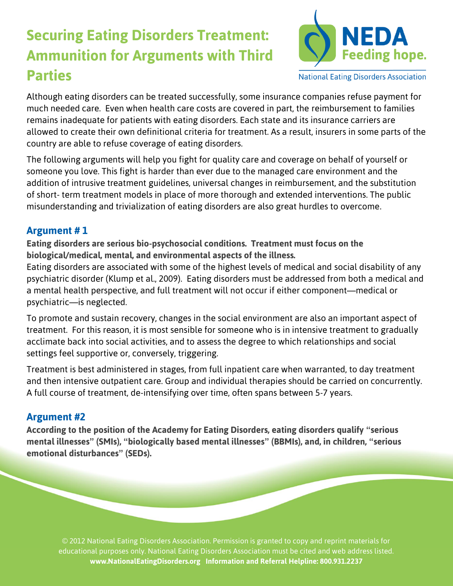# **Securing Eating Disorders Treatment: Ammunition for Arguments with Third Parties**



**National Eating Disorders Association** 

Although eating disorders can be treated successfully, some insurance companies refuse payment for much needed care. Even when health care costs are covered in part, the reimbursement to families remains inadequate for patients with eating disorders. Each state and its insurance carriers are allowed to create their own definitional criteria for treatment. As a result, insurers in some parts of the country are able to refuse coverage of eating disorders.

The following arguments will help you fight for quality care and coverage on behalf of yourself or someone you love. This fight is harder than ever due to the managed care environment and the addition of intrusive treatment guidelines, universal changes in reimbursement, and the substitution of short- term treatment models in place of more thorough and extended interventions. The public misunderstanding and trivialization of eating disorders are also great hurdles to overcome.

## **Argument # 1**

**Eating disorders are serious bio-psychosocial conditions. Treatment must focus on the biological/medical, mental, and environmental aspects of the illness.**

Eating disorders are associated with some of the highest levels of medical and social disability of any psychiatric disorder (Klump et al., 2009). Eating disorders must be addressed from both a medical and a mental health perspective, and full treatment will not occur if either component—medical or psychiatric—is neglected.

To promote and sustain recovery, changes in the social environment are also an important aspect of treatment. For this reason, it is most sensible for someone who is in intensive treatment to gradually acclimate back into social activities, and to assess the degree to which relationships and social settings feel supportive or, conversely, triggering.

Treatment is best administered in stages, from full inpatient care when warranted, to day treatment and then intensive outpatient care. Group and individual therapies should be carried on concurrently. A full course of treatment, de-intensifying over time, often spans between 5-7 years.

## **Argument #2**

**According to the position of the Academy for Eating Disorders, eating disorders qualify "serious mental illnesses" (SMIs), "biologically based mental illnesses" (BBMIs), and, in children, "serious emotional disturbances" (SEDs).**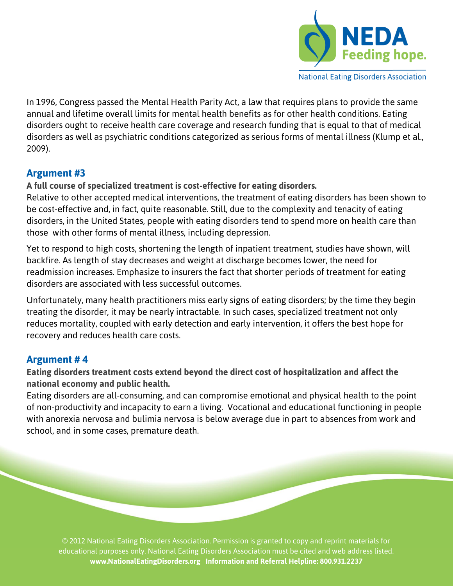

**National Eating Disorders Association** 

In 1996, Congress passed the Mental Health Parity Act, a law that requires plans to provide the same annual and lifetime overall limits for mental health benefits as for other health conditions. Eating disorders ought to receive health care coverage and research funding that is equal to that of medical disorders as well as psychiatric conditions categorized as serious forms of mental illness (Klump et al., 2009).

## **Argument #3**

## **A full course of specialized treatment is cost-effective for eating disorders.**

Relative to other accepted medical interventions, the treatment of eating disorders has been shown to be cost-effective and, in fact, quite reasonable. Still, due to the complexity and tenacity of eating disorders, in the United States, people with eating disorders tend to spend more on health care than those with other forms of mental illness, including depression.

Yet to respond to high costs, shortening the length of inpatient treatment, studies have shown, will backfire. As length of stay decreases and weight at discharge becomes lower, the need for readmission increases. Emphasize to insurers the fact that shorter periods of treatment for eating disorders are associated with less successful outcomes.

Unfortunately, many health practitioners miss early signs of eating disorders; by the time they begin treating the disorder, it may be nearly intractable. In such cases, specialized treatment not only reduces mortality, coupled with early detection and early intervention, it offers the best hope for recovery and reduces health care costs.

## **Argument # 4**

**Eating disorders treatment costs extend beyond the direct cost of hospitalization and affect the national economy and public health.**

Eating disorders are all-consuming, and can compromise emotional and physical health to the point of non-productivity and incapacity to earn a living. Vocational and educational functioning in people with anorexia nervosa and bulimia nervosa is below average due in part to absences from work and school, and in some cases, premature death.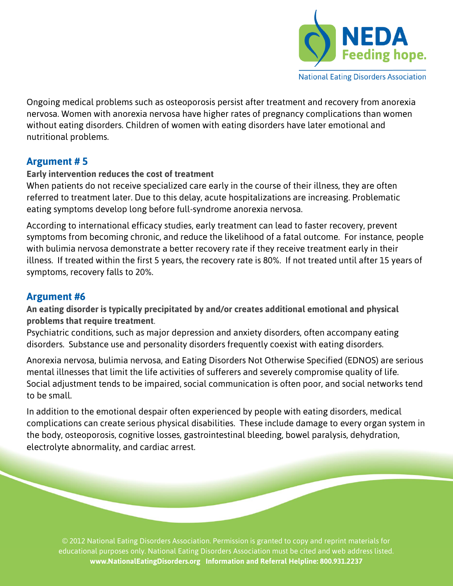

**National Eating Disorders Association** 

Ongoing medical problems such as osteoporosis persist after treatment and recovery from anorexia nervosa. Women with anorexia nervosa have higher rates of pregnancy complications than women without eating disorders. Children of women with eating disorders have later emotional and nutritional problems.

## **Argument # 5**

### **Early intervention reduces the cost of treatment**

When patients do not receive specialized care early in the course of their illness, they are often referred to treatment later. Due to this delay, acute hospitalizations are increasing. Problematic eating symptoms develop long before full-syndrome anorexia nervosa.

According to international efficacy studies, early treatment can lead to faster recovery, prevent symptoms from becoming chronic, and reduce the likelihood of a fatal outcome. For instance, people with bulimia nervosa demonstrate a better recovery rate if they receive treatment early in their illness. If treated within the first 5 years, the recovery rate is 80%. If not treated until after 15 years of symptoms, recovery falls to 20%.

## **Argument #6**

**An eating disorder is typically precipitated by and/or creates additional emotional and physical problems that require treatment**.

Psychiatric conditions, such as major depression and anxiety disorders, often accompany eating disorders. Substance use and personality disorders frequently coexist with eating disorders.

Anorexia nervosa, bulimia nervosa, and Eating Disorders Not Otherwise Specified (EDNOS) are serious mental illnesses that limit the life activities of sufferers and severely compromise quality of life. Social adjustment tends to be impaired, social communication is often poor, and social networks tend to be small.

In addition to the emotional despair often experienced by people with eating disorders, medical complications can create serious physical disabilities. These include damage to every organ system in the body, osteoporosis, cognitive losses, gastrointestinal bleeding, bowel paralysis, dehydration, electrolyte abnormality, and cardiac arrest.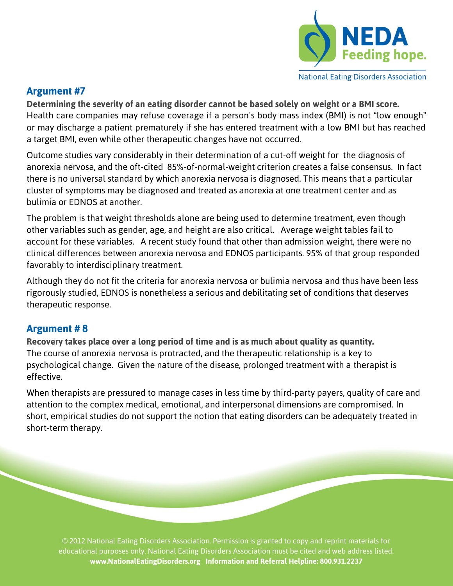

#### **National Eating Disorders Association**

## **Argument #7**

**Determining the severity of an eating disorder cannot be based solely on weight or a BMI score.** Health care companies may refuse coverage if a person's body mass index (BMI) is not "low enough" or may discharge a patient prematurely if she has entered treatment with a low BMI but has reached a target BMI, even while other therapeutic changes have not occurred.

Outcome studies vary considerably in their determination of a cut-off weight for the diagnosis of anorexia nervosa, and the oft-cited 85%-of-normal-weight criterion creates a false consensus. In fact there is no universal standard by which anorexia nervosa is diagnosed. This means that a particular cluster of symptoms may be diagnosed and treated as anorexia at one treatment center and as bulimia or EDNOS at another.

The problem is that weight thresholds alone are being used to determine treatment, even though other variables such as gender, age, and height are also critical. Average weight tables fail to account for these variables. A recent study found that other than admission weight, there were no clinical differences between anorexia nervosa and EDNOS participants. 95% of that group responded favorably to interdisciplinary treatment.

Although they do not fit the criteria for anorexia nervosa or bulimia nervosa and thus have been less rigorously studied, EDNOS is nonetheless a serious and debilitating set of conditions that deserves therapeutic response.

## **Argument # 8**

**Recovery takes place over a long period of time and is as much about quality as quantity.** The course of anorexia nervosa is protracted, and the therapeutic relationship is a key to psychological change. Given the nature of the disease, prolonged treatment with a therapist is effective.

When therapists are pressured to manage cases in less time by third-party payers, quality of care and attention to the complex medical, emotional, and interpersonal dimensions are compromised. In short, empirical studies do not support the notion that eating disorders can be adequately treated in short-term therapy.